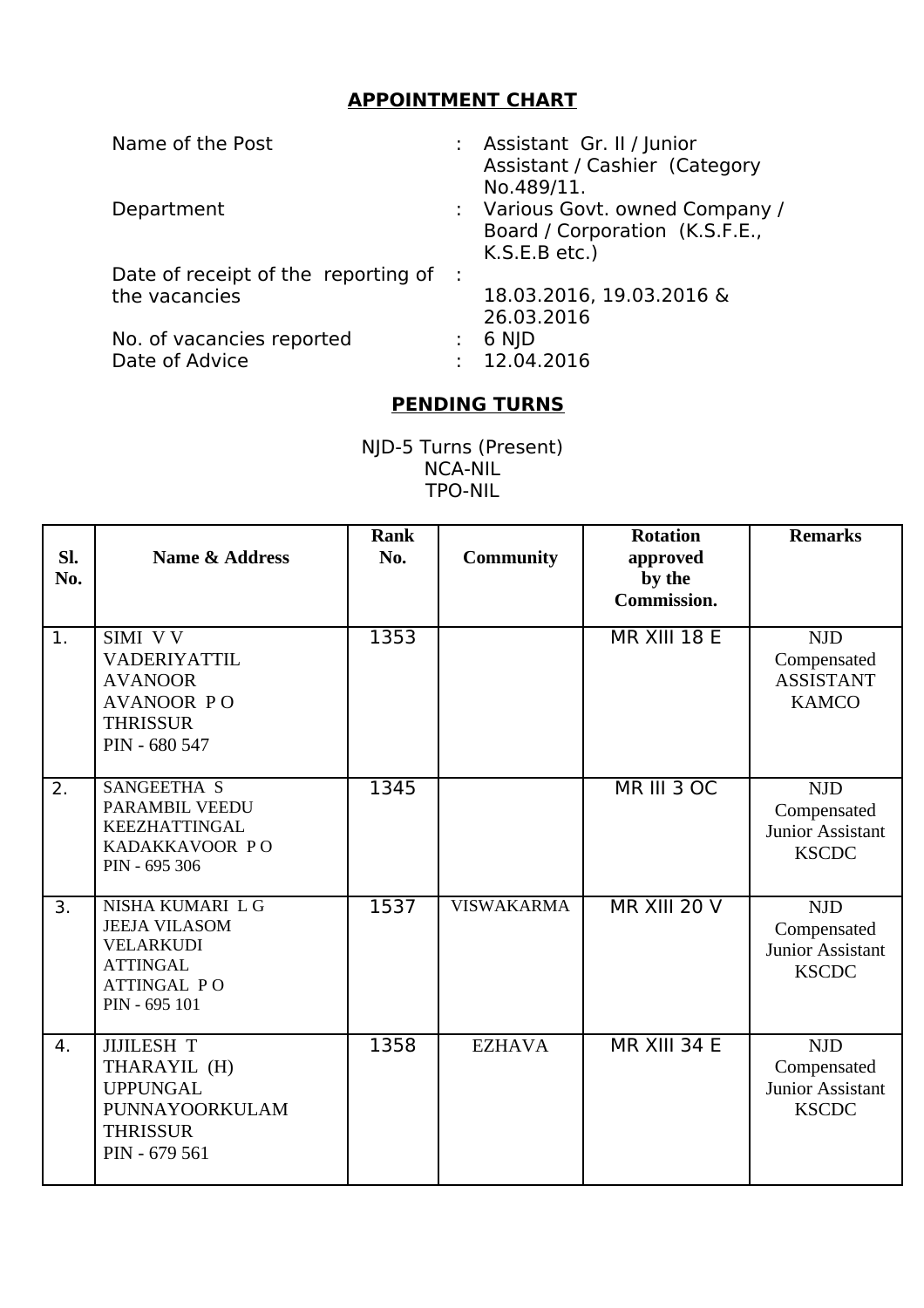## **APPOINTMENT CHART**

| Name of the Post                      | : Assistant Gr. II / Junior<br>Assistant / Cashier (Category<br>No.489/11.         |
|---------------------------------------|------------------------------------------------------------------------------------|
| Department                            | : Various Govt. owned Company /<br>Board / Corporation (K.S.F.E.,<br>K.S.E.B etc.) |
| Date of receipt of the reporting of : | 18.03.2016, 19.03.2016 &                                                           |
| the vacancies                         | 26.03.2016                                                                         |
| No. of vacancies reported             | 6 NJD                                                                              |
| Date of Advice                        | : 12.04.2016                                                                       |

## **PENDING TURNS**

NJD-5 Turns (Present) NCA-NIL TPO-NIL

| SI.<br>No. | <b>Name &amp; Address</b>                                                                                              | <b>Rank</b><br>No. | <b>Community</b>  | <b>Rotation</b><br>approved<br>by the<br>Commission. | <b>Remarks</b>                                                       |
|------------|------------------------------------------------------------------------------------------------------------------------|--------------------|-------------------|------------------------------------------------------|----------------------------------------------------------------------|
| 1.         | SIMI VV<br>VADERIYATTIL<br><b>AVANOOR</b><br><b>AVANOOR PO</b><br><b>THRISSUR</b><br>PIN - 680 547                     | 1353               |                   | <b>MR XIII 18 E</b>                                  | <b>NJD</b><br>Compensated<br><b>ASSISTANT</b><br><b>KAMCO</b>        |
| 2.         | SANGEETHA S<br>PARAMBIL VEEDU<br><b>KEEZHATTINGAL</b><br>KADAKKAVOOR PO<br>PIN - 695 306                               | 1345               |                   | MR III 3 OC                                          | <b>NJD</b><br>Compensated<br><b>Junior Assistant</b><br><b>KSCDC</b> |
| 3.         | NISHA KUMARI L G<br><b>JEEJA VILASOM</b><br><b>VELARKUDI</b><br><b>ATTINGAL</b><br><b>ATTINGAL PO</b><br>PIN - 695 101 | 1537               | <b>VISWAKARMA</b> | MR XIII 20 V                                         | <b>NJD</b><br>Compensated<br>Junior Assistant<br><b>KSCDC</b>        |
| 4.         | <b>JIJILESH T</b><br>THARAYIL (H)<br><b>UPPUNGAL</b><br>PUNNAYOORKULAM<br><b>THRISSUR</b><br>PIN - 679 561             | 1358               | <b>EZHAVA</b>     | <b>MR XIII 34 E</b>                                  | <b>NJD</b><br>Compensated<br>Junior Assistant<br><b>KSCDC</b>        |